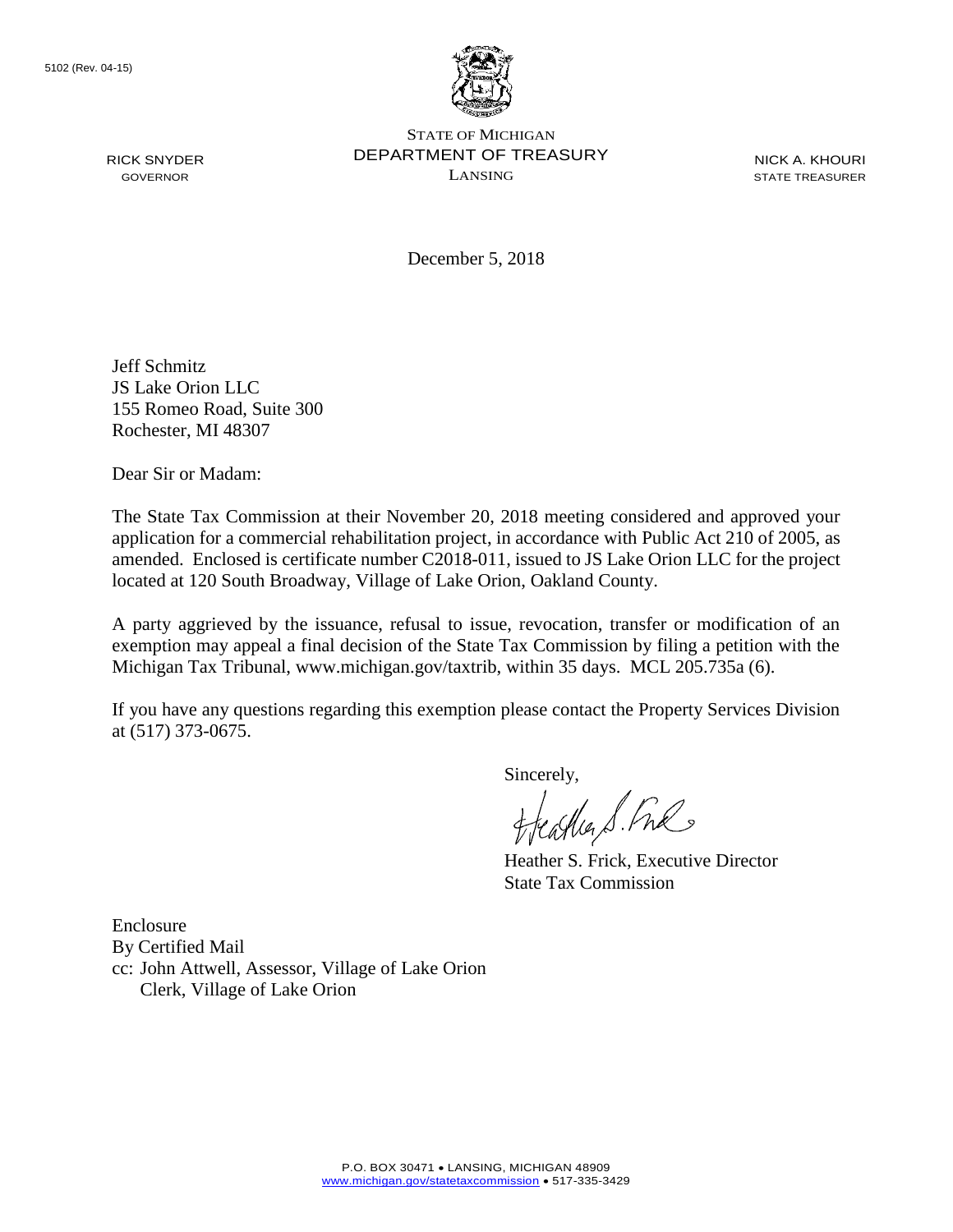RICK SNYDER GOVERNOR



STATE OF MICHIGAN DEPARTMENT OF TREASURY LANSING

NICK A. KHOURI STATE TREASURER

December 5, 2018

Jeff Schmitz JS Lake Orion LLC 155 Romeo Road, Suite 300 Rochester, MI 48307

Dear Sir or Madam:

The State Tax Commission at their November 20, 2018 meeting considered and approved your application for a commercial rehabilitation project, in accordance with Public Act 210 of 2005, as amended. Enclosed is certificate number C2018-011, issued to JS Lake Orion LLC for the project located at 120 South Broadway, Village of Lake Orion, Oakland County.

A party aggrieved by the issuance, refusal to issue, revocation, transfer or modification of an exemption may appeal a final decision of the State Tax Commission by filing a petition with the Michigan Tax Tribunal, www.michigan.gov/taxtrib, within 35 days. MCL 205.735a (6).

If you have any questions regarding this exemption please contact the Property Services Division at (517) 373-0675.

Sincerely,

Heather S. Fre

Heather S. Frick, Executive Director State Tax Commission

Enclosure By Certified Mail cc: John Attwell, Assessor, Village of Lake Orion Clerk, Village of Lake Orion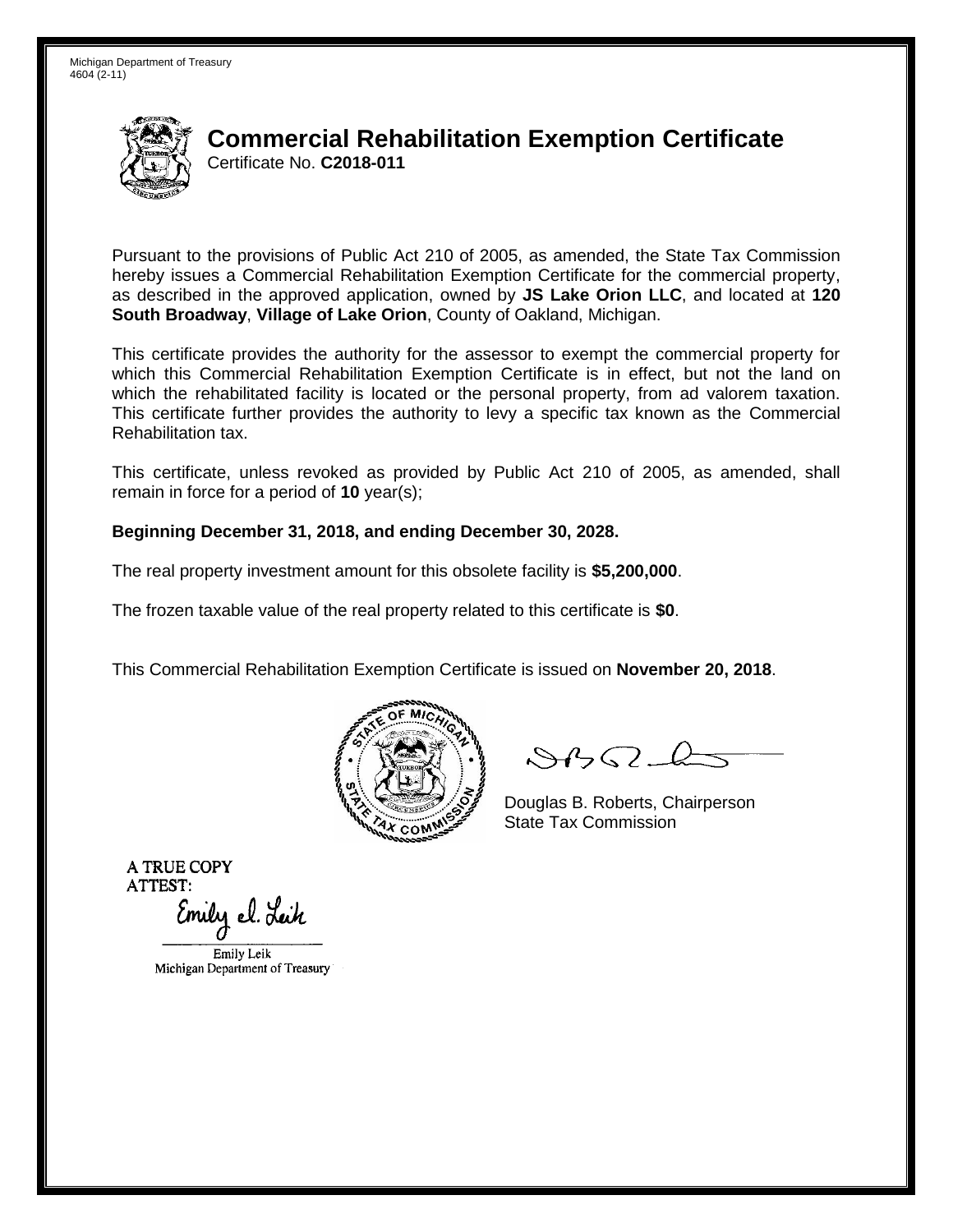

## **Commercial Rehabilitation Exemption Certificate** Certificate No. **C2018-011**

Pursuant to the provisions of Public Act 210 of 2005, as amended, the State Tax Commission hereby issues a Commercial Rehabilitation Exemption Certificate for the commercial property, as described in the approved application, owned by **JS Lake Orion LLC**, and located at **120 South Broadway**, **Village of Lake Orion**, County of Oakland, Michigan.

This certificate provides the authority for the assessor to exempt the commercial property for which this Commercial Rehabilitation Exemption Certificate is in effect, but not the land on which the rehabilitated facility is located or the personal property, from ad valorem taxation. This certificate further provides the authority to levy a specific tax known as the Commercial Rehabilitation tax.

This certificate, unless revoked as provided by Public Act 210 of 2005, as amended, shall remain in force for a period of **10** year(s);

## **Beginning December 31, 2018, and ending December 30, 2028.**

The real property investment amount for this obsolete facility is **\$5,200,000**.

The frozen taxable value of the real property related to this certificate is **\$0**.

This Commercial Rehabilitation Exemption Certificate is issued on **November 20, 2018**.



 $84562-6$ 

Douglas B. Roberts, Chairperson State Tax Commission

**A TRUE COPY ATTEST:** 

Emily el. Leik

Emily Leik Michigan Department of Treasury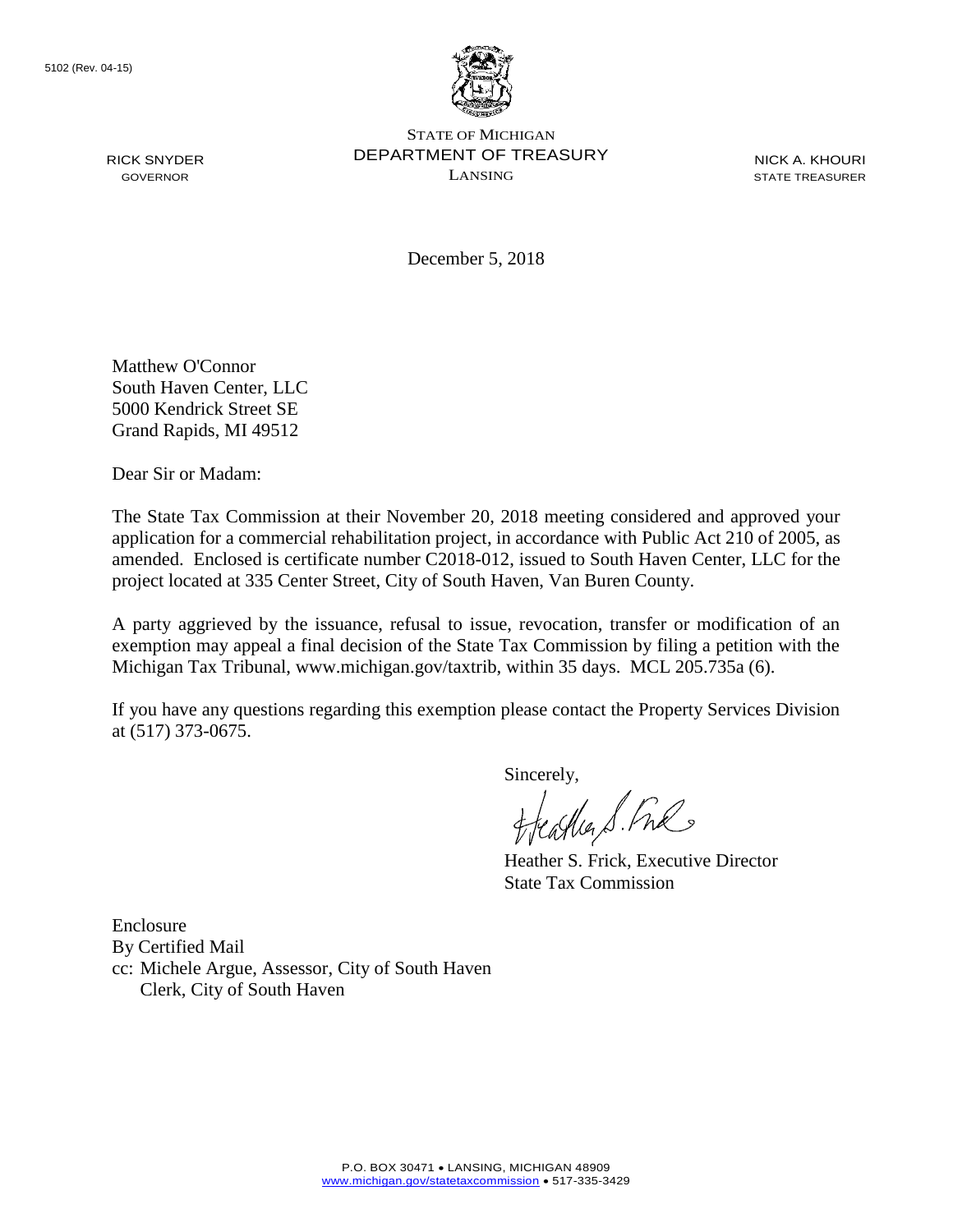RICK SNYDER GOVERNOR



STATE OF MICHIGAN DEPARTMENT OF TREASURY LANSING

NICK A. KHOURI STATE TREASURER

December 5, 2018

Matthew O'Connor South Haven Center, LLC 5000 Kendrick Street SE Grand Rapids, MI 49512

Dear Sir or Madam:

The State Tax Commission at their November 20, 2018 meeting considered and approved your application for a commercial rehabilitation project, in accordance with Public Act 210 of 2005, as amended. Enclosed is certificate number C2018-012, issued to South Haven Center, LLC for the project located at 335 Center Street, City of South Haven, Van Buren County.

A party aggrieved by the issuance, refusal to issue, revocation, transfer or modification of an exemption may appeal a final decision of the State Tax Commission by filing a petition with the Michigan Tax Tribunal, www.michigan.gov/taxtrib, within 35 days. MCL 205.735a (6).

If you have any questions regarding this exemption please contact the Property Services Division at (517) 373-0675.

Sincerely,

Heather S. Fre

Heather S. Frick, Executive Director State Tax Commission

Enclosure By Certified Mail cc: Michele Argue, Assessor, City of South Haven Clerk, City of South Haven